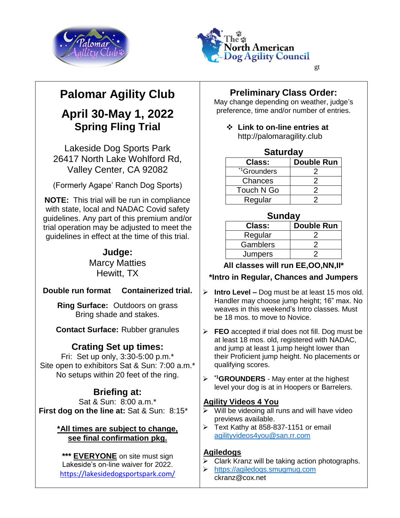



# **Palomar Agility Club**

## **April 30-May 1, 2022 Spring Fling Trial**

Lakeside Dog Sports Park 26417 North Lake Wohlford Rd, Valley Center, CA 92082

(Formerly Agape' Ranch Dog Sports)

**NOTE:** This trial will be run in compliance with state, local and NADAC Covid safety guidelines. Any part of this premium and/or trial operation may be adjusted to meet the guidelines in effect at the time of this trial.

### **Judge:** Marcy Matties

Hewitt, TX

### **Double run format Containerized trial.**

**Ring Surface:** Outdoors on grass Bring shade and stakes.

**Contact Surface:** Rubber granules

### **Crating Set up times:**

Fri: Set up only, 3:30-5:00 p.m.\* Site open to exhibitors Sat & Sun: 7:00 a.m.\* No setups within 20 feet of the ring.

### **Briefing at:**

Sat & Sun: 8:00 a.m.\* **First dog on the line at:** Sat & Sun: 8:15\*

#### **\*All times are subject to change, see final confirmation pkg.**

**\*\*\* EVERYONE** on site must sign Lakeside's on-line waiver for 2022. <https://lakesidedogsportspark.com/>

### **Preliminary Class Order:**

May change depending on weather, judge's preference, time and/or number of entries.

 **Link to on-line entries at**  [http://palomaragility.club](http://palomaragility.club/)

#### **Saturday**

| <b>Class:</b>           | <b>Double Run</b> |  |  |  |
|-------------------------|-------------------|--|--|--|
|                         |                   |  |  |  |
| <sup>*1</sup> Grounders |                   |  |  |  |
| Chances                 |                   |  |  |  |
| Touch N Go              |                   |  |  |  |
| Regular                 |                   |  |  |  |

#### **Sunday**

| <b>Class:</b> | <b>Double Run</b> |  |  |  |
|---------------|-------------------|--|--|--|
| Regular       |                   |  |  |  |
| Gamblers      |                   |  |  |  |
| Jumpers       |                   |  |  |  |

#### **All classes will run EE,OO,NN,II\***

### **\*Intro in Regular, Chances and Jumpers**

- **Intro Level –** Dog must be at least 15 mos old. Handler may choose jump height; 16" max. No weaves in this weekend's Intro classes. Must be 18 mos. to move to Novice.
- **FEO** accepted if trial does not fill. Dog must be at least 18 mos. old, registered with NADAC, and jump at least 1 jump height lower than their Proficient jump height. No placements or qualifying scores.
- **\*1GROUNDERS**  May enter at the highest level your dog is at in Hoopers or Barrelers.

#### **Agility Videos 4 You**

- $\triangleright$  Will be videoing all runs and will have video previews available.
- $\triangleright$  Text Kathy at 858-837-1151 or email [agilityvideos4you@san.rr.com](mailto:agilityvideos4you@san.rr.com)

#### **Agiledogs**

- $\triangleright$  Clark Kranz will be taking action photographs.
- [https://agiledogs.smugmug.com](https://agiledogs.smugmug.com/) ckranz@cox.net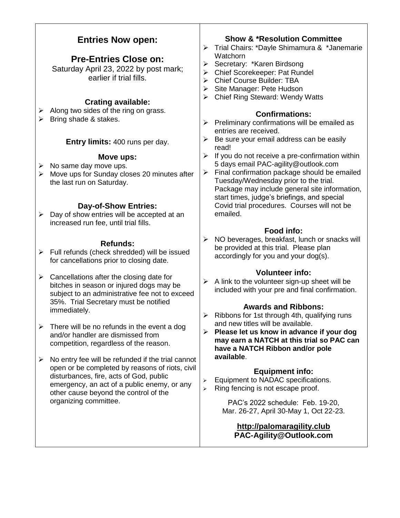#### **Entries Now open: Pre-Entries Close on:** Saturday April 23, 2022 by post mark; earlier if trial fills. **Crating available:**  $\triangleright$  Along two sides of the ring on grass.  $\triangleright$  Bring shade & stakes. **Entry limits:** 400 runs per day. **Move ups:**  $\triangleright$  No same day move ups.  $\triangleright$  Move ups for Sunday closes 20 minutes after the last run on Saturday. **Day-of-Show Entries:**  $\triangleright$  Day of show entries will be accepted at an increased run fee, until trial fills. **Refunds:**  $\triangleright$  Full refunds (check shredded) will be issued for cancellations prior to closing date.  $\triangleright$  Cancellations after the closing date for bitches in season or injured dogs may be subject to an administrative fee not to exceed 35%. Trial Secretary must be notified immediately.  $\triangleright$  There will be no refunds in the event a dog and/or handler are dismissed from competition, regardless of the reason.  $\triangleright$  No entry fee will be refunded if the trial cannot open or be completed by reasons of riots, civil disturbances, fire, acts of God, public emergency, an act of a public enemy, or any other cause beyond the control of the organizing committee. **Show & \*Resolution Committee** > Trial Chairs: \*Dayle Shimamura & \*Janemarie **Watchorn** ▶ Secretary: \*Karen Birdsong Chief Scorekeeper: Pat Rundel Chief Course Builder: TBA  $\triangleright$  Site Manager: Pete Hudson Chief Ring Steward: Wendy Watts **Confirmations:**  $\triangleright$  Preliminary confirmations will be emailed as entries are received.  $\triangleright$  Be sure your email address can be easily read!  $\triangleright$  If you do not receive a pre-confirmation within 5 days email PAC-agility@outlook.com  $\triangleright$  Final confirmation package should be emailed Tuesday/Wednesday prior to the trial. Package may include general site information, start times, judge's briefings, and special Covid trial procedures. Courses will not be emailed. **Food info:**  $\triangleright$  NO beverages, breakfast, lunch or snacks will be provided at this trial. Please plan accordingly for you and your dog(s). **Volunteer info:**  $\triangleright$  A link to the volunteer sign-up sheet will be included with your pre and final confirmation. **Awards and Ribbons:**  $\triangleright$  Ribbons for 1st through 4th, qualifying runs and new titles will be available. **Please let us know in advance if your dog may earn a NATCH at this trial so PAC can have a NATCH Ribbon and/or pole available**. **Equipment info:** Equipment to NADAC specifications.  $\triangleright$  Ring fencing is not escape proof. PAC's 2022 schedule: Feb. 19-20, Mar. 26-27, April 30-May 1, Oct 22-23. **[http://palomaragility.club](http://palomaragility.club/) PAC-Agility@Outlook.com**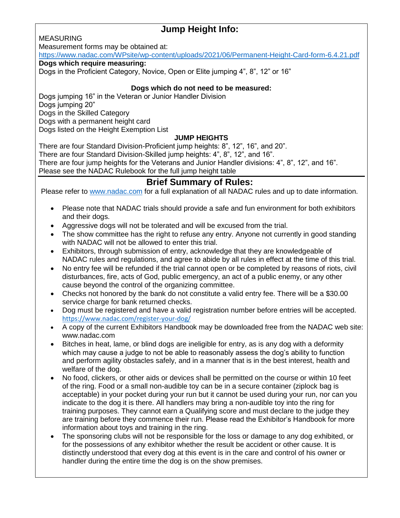## **Jump Height Info:**

MEASURING

Measurement forms may be obtained at:

<https://www.nadac.com/WPsite/wp-content/uploads/2021/06/Permanent-Height-Card-form-6.4.21.pdf>

#### **Dogs which require measuring:**

Dogs in the Proficient Category, Novice, Open or Elite jumping 4", 8", 12" or 16"

#### **Dogs which do not need to be measured:**

Dogs jumping 16" in the Veteran or Junior Handler Division Dogs jumping 20" Dogs in the Skilled Category Dogs with a permanent height card Dogs listed on the Height Exemption List

#### **JUMP HEIGHTS**

There are four Standard Division-Proficient jump heights: 8", 12", 16", and 20". There are four Standard Division-Skilled jump heights: 4", 8", 12", and 16". There are four jump heights for the Veterans and Junior Handler divisions: 4", 8", 12", and 16".

Please see the NADAC Rulebook for the full jump height table

### **Brief Summary of Rules:**

Please refer to [www.nadac.com](http://www.nadac.com/) for a full explanation of all NADAC rules and up to date information.

- Please note that NADAC trials should provide a safe and fun environment for both exhibitors and their dogs.
- Aggressive dogs will not be tolerated and will be excused from the trial.
- The show committee has the right to refuse any entry. Anyone not currently in good standing with NADAC will not be allowed to enter this trial.
- Exhibitors, through submission of entry, acknowledge that they are knowledgeable of NADAC rules and regulations, and agree to abide by all rules in effect at the time of this trial.
- No entry fee will be refunded if the trial cannot open or be completed by reasons of riots, civil disturbances, fire, acts of God, public emergency, an act of a public enemy, or any other cause beyond the control of the organizing committee.
- Checks not honored by the bank do not constitute a valid entry fee. There will be a \$30.00 service charge for bank returned checks.
- Dog must be registered and have a valid registration number before entries will be accepted. <https://www.nadac.com/register-your-dog/>
- A copy of the current Exhibitors Handbook may be downloaded free from the NADAC web site: www.nadac.com
- Bitches in heat, lame, or blind dogs are ineligible for entry, as is any dog with a deformity which may cause a judge to not be able to reasonably assess the dog's ability to function and perform agility obstacles safely, and in a manner that is in the best interest, health and welfare of the dog.
- No food, clickers, or other aids or devices shall be permitted on the course or within 10 feet of the ring. Food or a small non-audible toy can be in a secure container (ziplock bag is acceptable) in your pocket during your run but it cannot be used during your run, nor can you indicate to the dog it is there. All handlers may bring a non-audible toy into the ring for training purposes. They cannot earn a Qualifying score and must declare to the judge they are training before they commence their run. Please read the Exhibitor's Handbook for more information about toys and training in the ring.
- The sponsoring clubs will not be responsible for the loss or damage to any dog exhibited, or for the possessions of any exhibitor whether the result be accident or other cause. It is distinctly understood that every dog at this event is in the care and control of his owner or handler during the entire time the dog is on the show premises.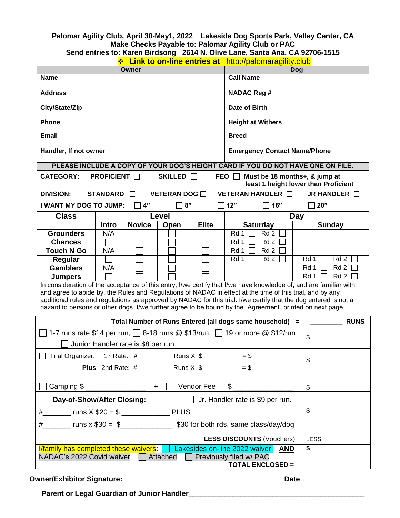#### **Palomar Agility Club, April 30-May1, 2022 Lakeside Dog Sports Park, Valley Center, CA Make Checks Payable to: Palomar Agility Club or PAC**

| Send entries to: Karen Birdsong 2614 N. Olive Lane, Santa Ana, CA 92706-1515 |  |  |  |
|------------------------------------------------------------------------------|--|--|--|
|                                                                              |  |  |  |

| <b>Eink to on-line entries at</b> http://palomaragility.club |  |
|--------------------------------------------------------------|--|
|--------------------------------------------------------------|--|

| <b>Owner</b>                                                                                                                                                |                     | Dog<br><b>Call Name</b>            |                    |              |                                                                                                                                                                                                                              |                                                                       |  |  |
|-------------------------------------------------------------------------------------------------------------------------------------------------------------|---------------------|------------------------------------|--------------------|--------------|------------------------------------------------------------------------------------------------------------------------------------------------------------------------------------------------------------------------------|-----------------------------------------------------------------------|--|--|
| <b>Name</b>                                                                                                                                                 |                     |                                    |                    |              |                                                                                                                                                                                                                              |                                                                       |  |  |
| <b>Address</b>                                                                                                                                              |                     |                                    | <b>NADAC Reg #</b> |              |                                                                                                                                                                                                                              |                                                                       |  |  |
| City/State/Zip                                                                                                                                              |                     |                                    |                    |              | <b>Date of Birth</b>                                                                                                                                                                                                         |                                                                       |  |  |
| Phone                                                                                                                                                       |                     |                                    |                    |              | <b>Height at Withers</b>                                                                                                                                                                                                     |                                                                       |  |  |
| Email                                                                                                                                                       |                     |                                    |                    |              | <b>Breed</b>                                                                                                                                                                                                                 |                                                                       |  |  |
| Handler, If not owner                                                                                                                                       |                     |                                    |                    |              |                                                                                                                                                                                                                              | <b>Emergency Contact Name/Phone</b>                                   |  |  |
|                                                                                                                                                             |                     |                                    |                    |              | PLEASE INCLUDE A COPY OF YOUR DOG'S HEIGHT CARD IF YOU DO NOT HAVE ONE ON FILE.                                                                                                                                              |                                                                       |  |  |
| <b>CATEGORY:</b>                                                                                                                                            | <b>PROFICIENT</b> □ |                                    | SKILLED <b>N</b>   |              | FEO                                                                                                                                                                                                                          | Must be 18 months+, & jump at<br>least 1 height lower than Proficient |  |  |
| <b>DIVISION:</b>                                                                                                                                            | <b>STANDARD</b>     | $\perp$                            | VETERAN DOG O      |              | VETERAN HANDLER <b>In</b>                                                                                                                                                                                                    | JR HANDLER <b>O</b>                                                   |  |  |
| I WANT MY DOG TO JUMP:                                                                                                                                      |                     | 4"                                 |                    | 8"           | 12"<br>16"                                                                                                                                                                                                                   | 20"                                                                   |  |  |
| <b>Class</b>                                                                                                                                                |                     |                                    | Level              |              |                                                                                                                                                                                                                              | <b>Day</b>                                                            |  |  |
|                                                                                                                                                             | Intro               | <b>Novice</b>                      | Open               | <b>Elite</b> | <b>Saturday</b>                                                                                                                                                                                                              | <b>Sunday</b>                                                         |  |  |
| <b>Grounders</b>                                                                                                                                            | N/A                 |                                    |                    |              | Rd 1<br>Rd <sub>2</sub>                                                                                                                                                                                                      |                                                                       |  |  |
| <b>Chances</b><br><b>Touch N Go</b>                                                                                                                         | N/A                 |                                    |                    |              | Rd 2<br>Rd 1<br>Rd 2<br>Rd 1                                                                                                                                                                                                 |                                                                       |  |  |
| Regular                                                                                                                                                     |                     |                                    |                    |              | Rd 1<br>Rd 2                                                                                                                                                                                                                 | Rd 2<br>Rd 1                                                          |  |  |
| <b>Gamblers</b>                                                                                                                                             | N/A                 |                                    |                    |              |                                                                                                                                                                                                                              | Rd 2<br>Rd 1                                                          |  |  |
| <b>Jumpers</b>                                                                                                                                              |                     |                                    |                    |              |                                                                                                                                                                                                                              | Rd <sub>2</sub><br>Rd 1                                               |  |  |
|                                                                                                                                                             |                     |                                    |                    |              | In consideration of the acceptance of this entry, I/we certify that I/we have knowledge of, and are familiar with,                                                                                                           |                                                                       |  |  |
|                                                                                                                                                             |                     |                                    |                    |              | and agree to abide by, the Rules and Regulations of NADAC in effect at the time of this trial, and by any                                                                                                                    |                                                                       |  |  |
|                                                                                                                                                             |                     |                                    |                    |              | additional rules and regulations as approved by NADAC for this trial. I/we certify that the dog entered is not a<br>hazard to persons or other dogs. I/we further agree to be bound by the "Agreement" printed on next page. |                                                                       |  |  |
|                                                                                                                                                             |                     |                                    |                    |              |                                                                                                                                                                                                                              |                                                                       |  |  |
|                                                                                                                                                             |                     |                                    |                    |              | Total Number of Runs Entered (all dogs same household) =                                                                                                                                                                     | <b>RUNS</b>                                                           |  |  |
|                                                                                                                                                             |                     | Junior Handler rate is \$8 per run |                    |              | 1-7 runs rate \$14 per run, $\Box$ 8-18 runs @ \$13/run, $\Box$ 19 or more @ \$12/run                                                                                                                                        | \$                                                                    |  |  |
|                                                                                                                                                             |                     |                                    |                    |              |                                                                                                                                                                                                                              |                                                                       |  |  |
| Trial Organizer:                                                                                                                                            |                     |                                    |                    |              | $=$ \$                                                                                                                                                                                                                       | \$                                                                    |  |  |
|                                                                                                                                                             |                     |                                    |                    |              |                                                                                                                                                                                                                              |                                                                       |  |  |
| $\Box$ Vendor Fee<br>$\frac{1}{2}$                                                                                                                          |                     |                                    | $\mathfrak s$      |              |                                                                                                                                                                                                                              |                                                                       |  |  |
| $\Box$ Jr. Handler rate is \$9 per run.<br>Day-of-Show/After Closing:                                                                                       |                     |                                    |                    |              |                                                                                                                                                                                                                              |                                                                       |  |  |
|                                                                                                                                                             |                     |                                    | \$                 |              |                                                                                                                                                                                                                              |                                                                       |  |  |
|                                                                                                                                                             |                     |                                    |                    |              |                                                                                                                                                                                                                              |                                                                       |  |  |
| <b>LESS DISCOUNTS (Vouchers)</b>                                                                                                                            |                     |                                    |                    | LESS         |                                                                                                                                                                                                                              |                                                                       |  |  |
| $1/family$ has completed these waivers: $\Box$ Lakesides on-line 2022 waiver AND<br>NADAC's 2022 Covid waiver<br>Previously filed w/ PAC<br>$\Box$ Attached |                     |                                    |                    | \$           |                                                                                                                                                                                                                              |                                                                       |  |  |
|                                                                                                                                                             |                     |                                    |                    |              | <b>TOTAL ENCLOSED =</b>                                                                                                                                                                                                      |                                                                       |  |  |

**Owner/Exhibitor Signature: \_\_\_\_\_\_\_\_\_\_\_\_\_\_\_\_\_\_\_\_\_\_\_\_\_\_\_\_\_\_\_\_\_\_\_\_\_\_\_\_Date\_\_\_\_\_\_\_\_\_\_\_\_\_\_\_\_**

 **Parent or Legal Guardian of Junior Handler\_\_\_\_\_\_\_\_\_\_\_\_\_\_\_\_\_\_\_\_\_\_\_\_\_\_\_\_\_\_\_\_\_\_\_\_\_\_\_\_\_\_\_\_**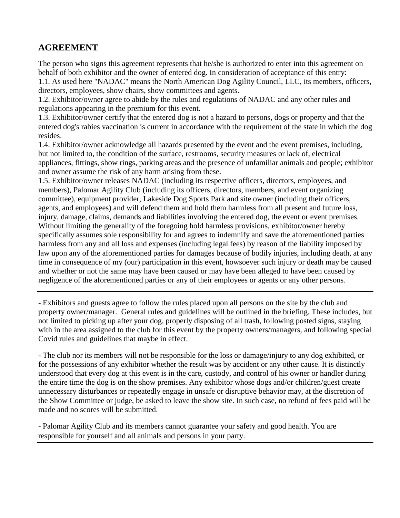### **AGREEMENT**

The person who signs this agreement represents that he/she is authorized to enter into this agreement on behalf of both exhibitor and the owner of entered dog. In consideration of acceptance of this entry: 1.1. As used here "NADAC" means the North American Dog Agility Council, LLC, its members, officers, directors, employees, show chairs, show committees and agents.

1.2. Exhibitor/owner agree to abide by the rules and regulations of NADAC and any other rules and regulations appearing in the premium for this event.

1.3. Exhibitor/owner certify that the entered dog is not a hazard to persons, dogs or property and that the entered dog's rabies vaccination is current in accordance with the requirement of the state in which the dog resides.

1.4. Exhibitor/owner acknowledge all hazards presented by the event and the event premises, including, but not limited to, the condition of the surface, restrooms, security measures or lack of, electrical appliances, fittings, show rings, parking areas and the presence of unfamiliar animals and people; exhibitor and owner assume the risk of any harm arising from these.

1.5. Exhibitor/owner releases NADAC (including its respective officers, directors, employees, and members), Palomar Agility Club (including its officers, directors, members, and event organizing committee), equipment provider, Lakeside Dog Sports Park and site owner (including their officers, agents, and employees) and will defend them and hold them harmless from all present and future loss, injury, damage, claims, demands and liabilities involving the entered dog, the event or event premises. Without limiting the generality of the foregoing hold harmless provisions, exhibitor/owner hereby specifically assumes sole responsibility for and agrees to indemnify and save the aforementioned parties harmless from any and all loss and expenses (including legal fees) by reason of the liability imposed by law upon any of the aforementioned parties for damages because of bodily injuries, including death, at any time in consequence of my (our) participation in this event, howsoever such injury or death may be caused and whether or not the same may have been caused or may have been alleged to have been caused by negligence of the aforementioned parties or any of their employees or agents or any other persons.

- Exhibitors and guests agree to follow the rules placed upon all persons on the site by the club and property owner/manager. General rules and guidelines will be outlined in the briefing. These includes, but not limited to picking up after your dog, properly disposing of all trash, following posted signs, staying with in the area assigned to the club for this event by the property owners/managers, and following special Covid rules and guidelines that maybe in effect.

- The club nor its members will not be responsible for the loss or damage/injury to any dog exhibited, or for the possessions of any exhibitor whether the result was by accident or any other cause. It is distinctly understood that every dog at this event is in the care, custody, and control of his owner or handler during the entire time the dog is on the show premises. Any exhibitor whose dogs and/or children/guest create unnecessary disturbances or repeatedly engage in unsafe or disruptive behavior may, at the discretion of the Show Committee or judge, be asked to leave the show site. In such case, no refund of fees paid will be made and no scores will be submitted.

- Palomar Agility Club and its members cannot guarantee your safety and good health. You are responsible for yourself and all animals and persons in your party.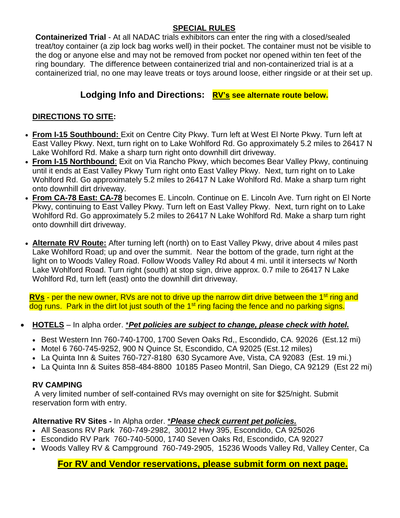### **SPECIAL RULES**

**Containerized Trial** - At all NADAC trials exhibitors can enter the ring with a closed/sealed treat/toy container (a zip lock bag works well) in their pocket. The container must not be visible to the dog or anyone else and may not be removed from pocket nor opened within ten feet of the ring boundary. The difference between containerized trial and non-containerized trial is at a containerized trial, no one may leave treats or toys around loose, either ringside or at their set up.

### **Lodging Info and Directions: RV's see alternate route below.**

### **DIRECTIONS TO SITE:**

- **From I-15 Southbound:** Exit on Centre City Pkwy. Turn left at West El Norte Pkwy. Turn left at East Valley Pkwy. Next, turn right on to Lake Wohlford Rd. Go approximately 5.2 miles to 26417 N Lake Wohlford Rd. Make a sharp turn right onto downhill dirt driveway.
- **From I-15 Northbound**: Exit on Via Rancho Pkwy, which becomes Bear Valley Pkwy, continuing until it ends at East Valley Pkwy Turn right onto East Valley Pkwy. Next, turn right on to Lake Wohlford Rd. Go approximately 5.2 miles to 26417 N Lake Wohlford Rd. Make a sharp turn right onto downhill dirt driveway.
- **From CA-78 East: CA-78** becomes E. Lincoln. Continue on E. Lincoln Ave. Turn right on El Norte Pkwy, continuing to East Valley Pkwy. Turn left on East Valley Pkwy. Next, turn right on to Lake Wohlford Rd. Go approximately 5.2 miles to 26417 N Lake Wohlford Rd. Make a sharp turn right onto downhill dirt driveway.
- **Alternate RV Route:** After turning left (north) on to East Valley Pkwy, drive about 4 miles past Lake Wohlford Road; up and over the summit. Near the bottom of the grade, turn right at the light on to Woods Valley Road. Follow Woods Valley Rd about 4 mi. until it intersects w/ North Lake Wohlford Road. Turn right (south) at stop sign, drive approx. 0.7 mile to 26417 N Lake Wohlford Rd, turn left (east) onto the downhill dirt driveway.

**RVs** - per the new owner, RVs are not to drive up the narrow dirt drive between the 1<sup>st</sup> ring and dog runs. Park in the dirt lot just south of the 1<sup>st</sup> ring facing the fence and no parking signs.

- **HOTELS** In alpha order. \**Pet policies are subject to change, please check with hotel.* 
	- Best Western Inn 760-740-1700, 1700 Seven Oaks Rd,, Escondido, CA. 92026 (Est.12 mi)
	- Motel 6 760-745-9252, 900 N Quince St, Escondido, CA 92025 (Est.12 miles)
	- La Quinta Inn & Suites 760-727-8180 630 Sycamore Ave, Vista, CA 92083 (Est. 19 mi.)
	- La Quinta Inn & Suites 858-484-8800 10185 Paseo Montril, San Diego, CA 92129 (Est 22 mi)

#### **RV CAMPING**

A very limited number of self-contained RVs may overnight on site for \$25/night. Submit reservation form with entry.

#### **Alternative RV Sites -** In Alpha order. \**Please check current pet policies.*

- All Seasons RV Park 760-749-2982, 30012 Hwy 395, Escondido, CA 925026
- Escondido RV Park 760-740-5000, 1740 Seven Oaks Rd, Escondido, CA 92027
- Woods Valley RV & Campground 760-749-2905, 15236 Woods Valley Rd, Valley Center, Ca

### **For RV and Vendor reservations, please submit form on next page.**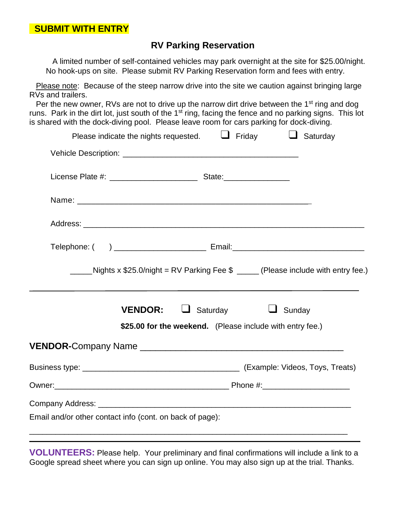### **RV Parking Reservation**

 A limited number of self-contained vehicles may park overnight at the site for \$25.00/night. No hook-ups on site. Please submit RV Parking Reservation form and fees with entry.

Please note: Because of the steep narrow drive into the site we caution against bringing large RVs and trailers.

Per the new owner, RVs are not to drive up the narrow dirt drive between the 1<sup>st</sup> ring and dog runs. Park in the dirt lot, just south of the  $1<sup>st</sup>$  ring, facing the fence and no parking signs. This lot is shared with the dock-diving pool. Please leave room for cars parking for dock-diving.

| Please indicate the nights requested.                                             |                                                           | $\Box$ Friday | $\Box$ Saturday |  |  |
|-----------------------------------------------------------------------------------|-----------------------------------------------------------|---------------|-----------------|--|--|
|                                                                                   |                                                           |               |                 |  |  |
|                                                                                   |                                                           |               |                 |  |  |
|                                                                                   |                                                           |               |                 |  |  |
|                                                                                   |                                                           |               |                 |  |  |
|                                                                                   |                                                           |               |                 |  |  |
| Nights x \$25.0/night = RV Parking Fee $$$ _____ (Please include with entry fee.) |                                                           |               |                 |  |  |
| <b>VENDOR:</b>                                                                    | $\Box$<br>Saturday                                        | Sunday        |                 |  |  |
|                                                                                   | \$25.00 for the weekend. (Please include with entry fee.) |               |                 |  |  |
|                                                                                   |                                                           |               |                 |  |  |
|                                                                                   |                                                           |               |                 |  |  |
|                                                                                   |                                                           |               |                 |  |  |
|                                                                                   |                                                           |               |                 |  |  |
| Email and/or other contact info (cont. on back of page):                          |                                                           |               |                 |  |  |
|                                                                                   |                                                           |               |                 |  |  |

**VOLUNTEERS:** Please help. Your preliminary and final confirmations will include a link to a Google spread sheet where you can sign up online. You may also sign up at the trial. Thanks.